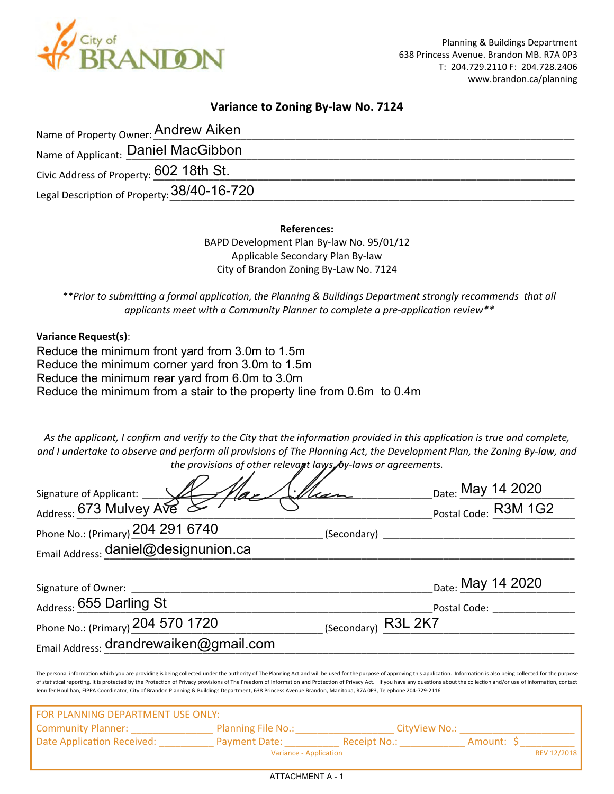

## **Variance to Zoning By-law No. 7124**

| Name of Property Owner: Andrew Aiken        |  |
|---------------------------------------------|--|
| Name of Applicant: Daniel MacGibbon         |  |
| Civic Address of Property: 602 18th St.     |  |
| Legal Description of Property: 38/40-16-720 |  |

**References:**

BAPD Development Plan By-law No. 95/01/12 Applicable Secondary Plan By-law City of Brandon Zoning By-Law No. 7124

*\*\*Prior to submi�ng a formal applica�on, the Planning & Buildings Department strongly recommends that all* applicants meet with a Community Planner to complete a pre-application review<sup>\*\*</sup>

**Variance Request(s)**:

Reduce the minimum front yard from 3.0m to 1.5m Reduce the minimum corner yard fron 3.0m to 1.5m Reduce the minimum rear yard from 6.0m to 3.0m Reduce the minimum from a stair to the property line from 0.6m to 0.4m

*As the applicant, I confirm and verify to the City that the informa�on provided in this applica�on is true and complete, and I undertake to observe and perform all provisions of The Planning Act, the Development Plan, the Zoning By-law, and the provisions of other relevant laws, by-laws or agreements.*

| Signature of Applicant: VA                                                                                                                                    |                     |                                                                                                                                                                                                                                                                                                                                                                                                                                                                  |
|---------------------------------------------------------------------------------------------------------------------------------------------------------------|---------------------|------------------------------------------------------------------------------------------------------------------------------------------------------------------------------------------------------------------------------------------------------------------------------------------------------------------------------------------------------------------------------------------------------------------------------------------------------------------|
| Address: 673 Mulvey Ave                                                                                                                                       |                     | Date: May 14 2020<br>Postal Code: R3M 1G2                                                                                                                                                                                                                                                                                                                                                                                                                        |
| Phone No.: (Primary) 204 291 6740                                                                                                                             |                     | (Secondary) <b>Analyzing Community</b> (Secondary)                                                                                                                                                                                                                                                                                                                                                                                                               |
| Email Address: daniel@designunion.ca                                                                                                                          |                     |                                                                                                                                                                                                                                                                                                                                                                                                                                                                  |
| Signature of Owner:                                                                                                                                           |                     | Date: May 14 2020                                                                                                                                                                                                                                                                                                                                                                                                                                                |
| Address: 655 Darling St                                                                                                                                       |                     | Postal Code:                                                                                                                                                                                                                                                                                                                                                                                                                                                     |
| Phone No.: (Primary) 204 570 1720                                                                                                                             | (Secondary) R3L 2K7 |                                                                                                                                                                                                                                                                                                                                                                                                                                                                  |
| Email Address: drandrewaiken@gmail.com                                                                                                                        |                     |                                                                                                                                                                                                                                                                                                                                                                                                                                                                  |
| Jennifer Houlihan, FIPPA Coordinator, City of Brandon Planning & Buildings Department, 638 Princess Avenue Brandon, Manitoba, R7A 0P3, Telephone 204-729-2116 |                     | The personal information which you are providing is being collected under the authority of The Planning Act and will be used for the purpose of approving this application. Information is also being collected for the purpos<br>of statistical reporting. It is protected by the Protection of Privacy provisions of The Freedom of Information and Protection of Privacy Act. If you have any questions about the collection and/or use of information, conta |
| FOR PLANNING DEPARTMENT USE ONLY:                                                                                                                             |                     |                                                                                                                                                                                                                                                                                                                                                                                                                                                                  |
|                                                                                                                                                               |                     |                                                                                                                                                                                                                                                                                                                                                                                                                                                                  |

Variance - Application **REV 12/2018** 

Date Application Received: \_\_\_\_\_\_\_\_\_\_\_ Payment Date: \_\_\_\_\_\_\_\_\_\_\_\_\_\_\_\_Receipt No.: \_\_\_\_\_\_\_\_\_\_\_\_\_ Amount: \$